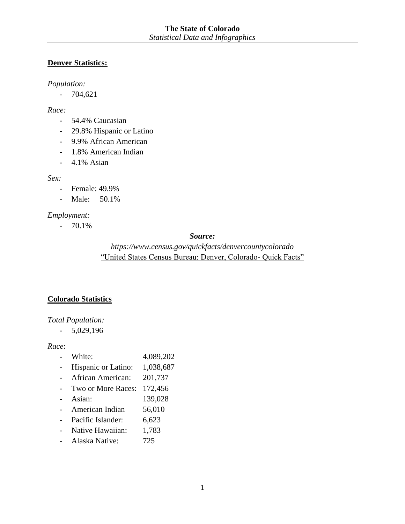## **Denver Statistics:**

#### *Population:*

- 704,621

#### *Race:*

- 54.4% Caucasian
- 29.8% Hispanic or Latino
- 9.9% African American
- 1.8% American Indian
- 4.1% Asian

#### *Sex:*

- Female: 49.9%
- Male: 50.1%

## *Employment:*

- 70.1%

#### *Source:*

# *https://www.census.gov/quickfacts/denvercountycolorado* "United States Census Bureau: Denver, Colorado- Quick Facts"

# **Colorado Statistics**

#### *Total Population:*

- 5,029,196

#### *Race*:

- White: 4,089,202
- Hispanic or Latino: 1,038,687
- African American: 201,737
- Two or More Races: 172,456
- Asian: 139,028
- American Indian 56,010
- Pacific Islander: 6,623
- Native Hawaiian: 1,783
- Alaska Native: 725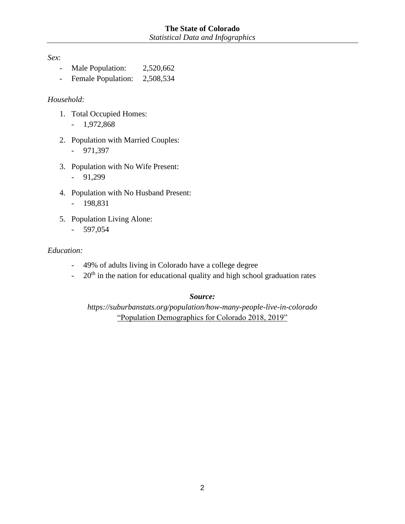*Sex*:

- Male Population: 2,520,662
- Female Population: 2,508,534

#### *Household*:

- 1. Total Occupied Homes:
	- 1,972,868
- 2. Population with Married Couples: - 971,397
- 3. Population with No Wife Present:
	- 91,299
- 4. Population with No Husband Present: - 198,831
- 5. Population Living Alone:
	- 597,054

#### *Education:*

- 49% of adults living in Colorado have a college degree
- $-20<sup>th</sup>$  in the nation for educational quality and high school graduation rates

#### *Source:*

*https://suburbanstats.org/population/how-many-people-live-in-colorado* "Population Demographics for Colorado 2018, 2019"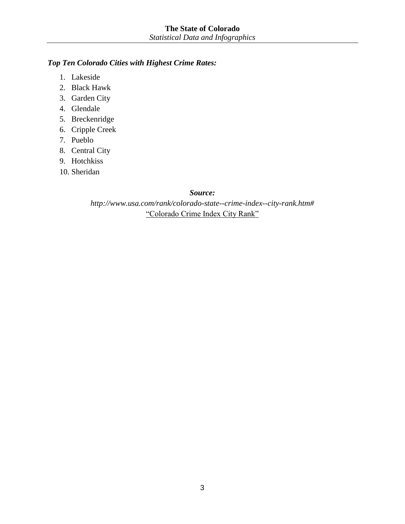## *Top Ten Colorado Cities with Highest Crime Rates:*

- 1. Lakeside
- 2. Black Hawk
- 3. Garden City
- 4. Glendale
- 5. Breckenridge
- 6. Cripple Creek
- 7. Pueblo
- 8. Central City
- 9. Hotchkiss
- 10. Sheridan

#### *Source:*

*http://www.usa.com/rank/colorado-state--crime-index--city-rank.htm#* "Colorado Crime Index City Rank"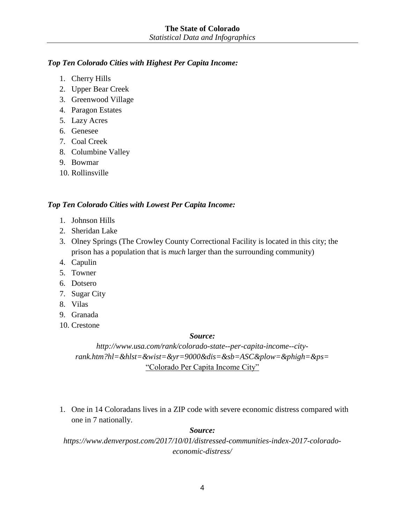## *Top Ten Colorado Cities with Highest Per Capita Income:*

- 1. Cherry Hills
- 2. Upper Bear Creek
- 3. Greenwood Village
- 4. Paragon Estates
- 5. Lazy Acres
- 6. Genesee
- 7. Coal Creek
- 8. Columbine Valley
- 9. Bowmar
- 10. Rollinsville

#### *Top Ten Colorado Cities with Lowest Per Capita Income:*

- 1. Johnson Hills
- 2. Sheridan Lake
- 3. Olney Springs (The Crowley County Correctional Facility is located in this city; the prison has a population that is *much* larger than the surrounding community)
- 4. Capulin
- 5. Towner
- 6. Dotsero
- 7. Sugar City
- 8. Vilas
- 9. Granada
- 10. Crestone

#### *Source:*

*http://www.usa.com/rank/colorado-state--per-capita-income--cityrank.htm?hl=&hlst=&wist=&yr=9000&dis=&sb=ASC&plow=&phigh=&ps=* "Colorado Per Capita Income City"

1. One in 14 Coloradans lives in a ZIP code with severe economic distress compared with one in 7 nationally.

#### *Source:*

*https://www.denverpost.com/2017/10/01/distressed-communities-index-2017-coloradoeconomic-distress/*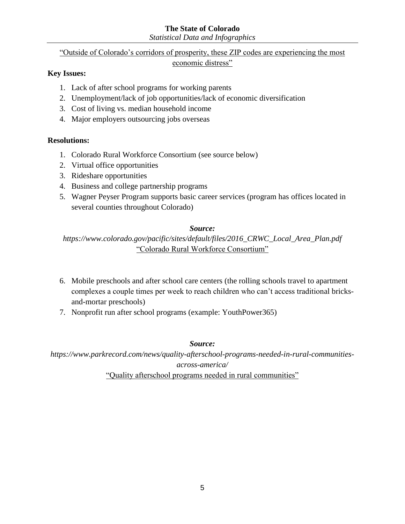## **The State of Colorado**

*Statistical Data and Infographics*

# "Outside of Colorado's corridors of prosperity, these ZIP codes are experiencing the most

#### economic distress"

## **Key Issues:**

- 1. Lack of after school programs for working parents
- 2. Unemployment/lack of job opportunities/lack of economic diversification
- 3. Cost of living vs. median household income
- 4. Major employers outsourcing jobs overseas

#### **Resolutions:**

- 1. Colorado Rural Workforce Consortium (see source below)
- 2. Virtual office opportunities
- 3. Rideshare opportunities
- 4. Business and college partnership programs
- 5. Wagner Peyser Program supports basic career services (program has offices located in several counties throughout Colorado)

#### *Source:*

*[https://www.colorado.gov/pacific/sites/default/files/2016\\_CRWC\\_Local\\_Area\\_Plan.pdf](https://www.colorado.gov/pacific/sites/default/files/2016_CRWC_Local_Area_Plan.pdf)* "Colorado Rural Workforce Consortium"

- 6. Mobile preschools and after school care centers (the rolling schools travel to apartment complexes a couple times per week to reach children who can't access traditional bricksand-mortar preschools)
- 7. Nonprofit run after school programs (example: YouthPower365)

#### *Source:*

*https://www.parkrecord.com/news/quality-afterschool-programs-needed-in-rural-communitiesacross-america/*

"Quality afterschool programs needed in rural communities"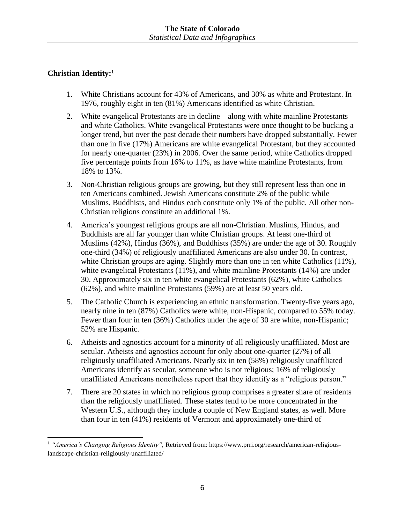# **Christian Identity: 1**

- 1. White Christians account for 43% of Americans, and 30% as white and Protestant. In 1976, roughly eight in ten (81%) Americans identified as white Christian.
- 2. White evangelical Protestants are in decline—along with white mainline Protestants and white Catholics. White evangelical Protestants were once thought to be bucking a longer trend, but over the past decade their numbers have dropped substantially. Fewer than one in five (17%) Americans are white evangelical Protestant, but they accounted for nearly one-quarter (23%) in 2006. Over the same period, white Catholics dropped five percentage points from 16% to 11%, as have white mainline Protestants, from 18% to 13%.
- 3. Non-Christian religious groups are growing, but they still represent less than one in ten Americans combined. Jewish Americans constitute 2% of the public while Muslims, Buddhists, and Hindus each constitute only 1% of the public. All other non-Christian religions constitute an additional 1%.
- 4. America's youngest religious groups are all non-Christian. Muslims, Hindus, and Buddhists are all far younger than white Christian groups. At least one-third of Muslims (42%), Hindus (36%), and Buddhists (35%) are under the age of 30. Roughly one-third (34%) of religiously unaffiliated Americans are also under 30. In contrast, white Christian groups are aging. Slightly more than one in ten white Catholics (11%), white evangelical Protestants (11%), and white mainline Protestants (14%) are under 30. Approximately six in ten white evangelical Protestants (62%), white Catholics (62%), and white mainline Protestants (59%) are at least 50 years old.
- 5. The Catholic Church is experiencing an ethnic transformation. Twenty-five years ago, nearly nine in ten (87%) Catholics were white, non-Hispanic, compared to 55% today. Fewer than four in ten (36%) Catholics under the age of 30 are white, non-Hispanic; 52% are Hispanic.
- 6. Atheists and agnostics account for a minority of all religiously unaffiliated. Most are secular. Atheists and agnostics account for only about one-quarter (27%) of all religiously unaffiliated Americans. Nearly six in ten (58%) religiously unaffiliated Americans identify as secular, someone who is not religious; 16% of religiously unaffiliated Americans nonetheless report that they identify as a "religious person."
- 7. There are 20 states in which no religious group comprises a greater share of residents than the religiously unaffiliated. These states tend to be more concentrated in the Western U.S., although they include a couple of New England states, as well. More than four in ten (41%) residents of Vermont and approximately one-third of

<sup>1</sup> *"America's Changing Religious Identity",* Retrieved from: https://www.prri.org/research/american-religiouslandscape-christian-religiously-unaffiliated/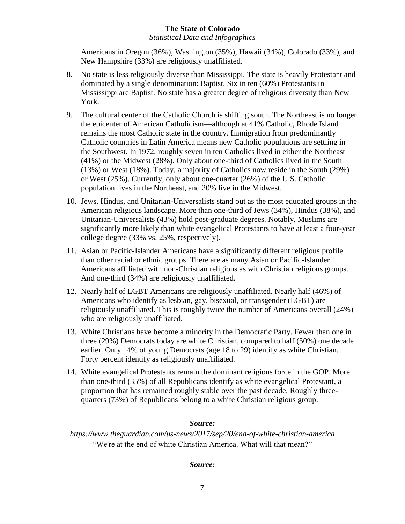Americans in Oregon (36%), Washington (35%), Hawaii (34%), Colorado (33%), and New Hampshire (33%) are religiously unaffiliated.

- 8. No state is less religiously diverse than Mississippi. The state is heavily Protestant and dominated by a single denomination: Baptist. Six in ten (60%) Protestants in Mississippi are Baptist. No state has a greater degree of religious diversity than New York.
- 9. The cultural center of the Catholic Church is shifting south. The Northeast is no longer the epicenter of American Catholicism—although at 41% Catholic, Rhode Island remains the most Catholic state in the country. Immigration from predominantly Catholic countries in Latin America means new Catholic populations are settling in the Southwest. In 1972, roughly seven in ten Catholics lived in either the Northeast (41%) or the Midwest (28%). Only about one-third of Catholics lived in the South (13%) or West (18%). Today, a majority of Catholics now reside in the South (29%) or West (25%). Currently, only about one-quarter (26%) of the U.S. Catholic population lives in the Northeast, and 20% live in the Midwest.
- 10. Jews, Hindus, and Unitarian-Universalists stand out as the most educated groups in the American religious landscape. More than one-third of Jews (34%), Hindus (38%), and Unitarian-Universalists (43%) hold post-graduate degrees. Notably, Muslims are significantly more likely than white evangelical Protestants to have at least a four-year college degree (33% vs. 25%, respectively).
- 11. Asian or Pacific-Islander Americans have a significantly different religious profile than other racial or ethnic groups. There are as many Asian or Pacific-Islander Americans affiliated with non-Christian religions as with Christian religious groups. And one-third (34%) are religiously unaffiliated.
- 12. Nearly half of LGBT Americans are religiously unaffiliated. Nearly half (46%) of Americans who identify as lesbian, gay, bisexual, or transgender (LGBT) are religiously unaffiliated. This is roughly twice the number of Americans overall (24%) who are religiously unaffiliated.
- 13. White Christians have become a minority in the Democratic Party. Fewer than one in three (29%) Democrats today are white Christian, compared to half (50%) one decade earlier. Only 14% of young Democrats (age 18 to 29) identify as white Christian. Forty percent identify as religiously unaffiliated.
- 14. White evangelical Protestants remain the dominant religious force in the GOP. More than one-third (35%) of all Republicans identify as white evangelical Protestant, a proportion that has remained roughly stable over the past decade. Roughly threequarters (73%) of Republicans belong to a white Christian religious group.

# *Source:*

*https://www.theguardian.com/us-news/2017/sep/20/end-of-white-christian-america* "We're at the end of white Christian America. What will that mean?"

# *Source:*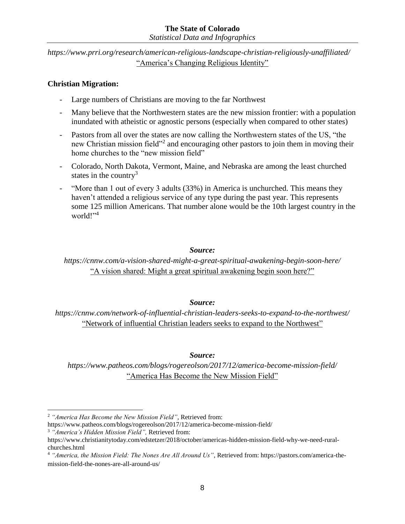#### **The State of Colorado** *Statistical Data and Infographics*

*https://www.prri.org/research/american-religious-landscape-christian-religiously-unaffiliated/* "America's Changing Religious Identity"

## **Christian Migration:**

- Large numbers of Christians are moving to the far Northwest
- Many believe that the Northwestern states are the new mission frontier: with a population inundated with atheistic or agnostic persons (especially when compared to other states)
- Pastors from all over the states are now calling the Northwestern states of the US, "the new Christian mission field"<sup>2</sup> and encouraging other pastors to join them in moving their home churches to the "new mission field"
- Colorado, North Dakota, Vermont, Maine, and Nebraska are among the least churched states in the country<sup>3</sup>
- "More than 1 out of every 3 adults (33%) in America is unchurched. This means they haven't attended a religious service of any type during the past year. This represents some 125 million Americans. That number alone would be the 10th largest country in the world!"<sup>4</sup>

#### *Source:*

*https://cnnw.com/a-vision-shared-might-a-great-spiritual-awakening-begin-soon-here/*  "A vision shared: Might a great spiritual awakening begin soon here?"

#### *Source:*

*https://cnnw.com/network-of-influential-christian-leaders-seeks-to-expand-to-the-northwest/* "Network of influential Christian leaders seeks to expand to the Northwest"

#### *Source:*

*https://www.patheos.com/blogs/rogereolson/2017/12/america-become-mission-field/* "America Has Become the New Mission Field"

https://www.patheos.com/blogs/rogereolson/2017/12/america-become-mission-field/ <sup>3</sup> *"America's Hidden Mission Field",* Retrieved from:

 <sup>2</sup> *"America Has Become the New Mission Field",* Retrieved from:

https://www.christianitytoday.com/edstetzer/2018/october/americas-hidden-mission-field-why-we-need-ruralchurches.html

<sup>4</sup> *"America, the Mission Field: The Nones Are All Around Us"*, Retrieved from: https://pastors.com/america-themission-field-the-nones-are-all-around-us/